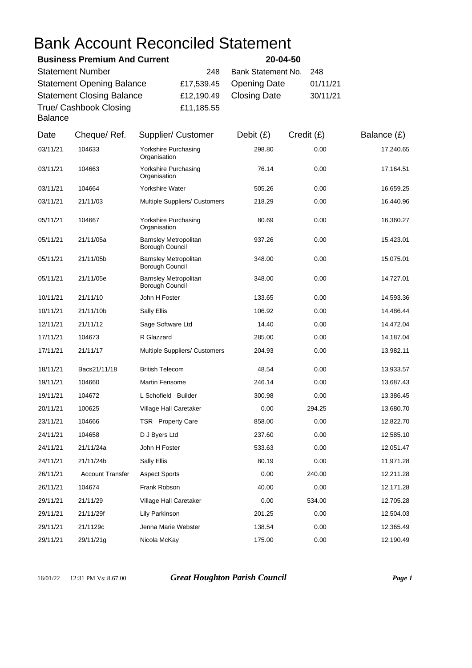## Bank Account Reconciled Statement

| <b>Business Premium And Current</b>      |            | 20-04-50                |          |
|------------------------------------------|------------|-------------------------|----------|
| <b>Statement Number</b>                  | 248        | Bank Statement No. 248  |          |
| <b>Statement Opening Balance</b>         |            | £17,539.45 Opening Date | 01/11/21 |
| <b>Statement Closing Balance</b>         |            | £12,190.49 Closing Date | 30/11/21 |
| True/ Cashbook Closing<br><b>Balance</b> | £11,185.55 |                         |          |

| Date     | Cheque/Ref.             | Supplier/ Customer                              | Debit $(E)$ | Credit (£) | Balance (£) |
|----------|-------------------------|-------------------------------------------------|-------------|------------|-------------|
| 03/11/21 | 104633                  | Yorkshire Purchasing<br>Organisation            | 298.80      | 0.00       | 17,240.65   |
| 03/11/21 | 104663                  | Yorkshire Purchasing<br>Organisation            | 76.14       | 0.00       | 17,164.51   |
| 03/11/21 | 104664                  | Yorkshire Water                                 | 505.26      | 0.00       | 16,659.25   |
| 03/11/21 | 21/11/03                | <b>Multiple Suppliers/ Customers</b>            | 218.29      | 0.00       | 16,440.96   |
| 05/11/21 | 104667                  | Yorkshire Purchasing<br>Organisation            | 80.69       | 0.00       | 16,360.27   |
| 05/11/21 | 21/11/05a               | <b>Barnsley Metropolitan</b><br>Borough Council | 937.26      | 0.00       | 15,423.01   |
| 05/11/21 | 21/11/05b               | <b>Barnsley Metropolitan</b><br>Borough Council | 348.00      | 0.00       | 15,075.01   |
| 05/11/21 | 21/11/05e               | <b>Barnsley Metropolitan</b><br>Borough Council | 348.00      | 0.00       | 14,727.01   |
| 10/11/21 | 21/11/10                | John H Foster                                   | 133.65      | 0.00       | 14,593.36   |
| 10/11/21 | 21/11/10b               | Sally Ellis                                     | 106.92      | 0.00       | 14,486.44   |
| 12/11/21 | 21/11/12                | Sage Software Ltd                               | 14.40       | 0.00       | 14,472.04   |
| 17/11/21 | 104673                  | R Glazzard                                      | 285.00      | 0.00       | 14,187.04   |
| 17/11/21 | 21/11/17                | <b>Multiple Suppliers/ Customers</b>            | 204.93      | 0.00       | 13,982.11   |
| 18/11/21 | Bacs21/11/18            | <b>British Telecom</b>                          | 48.54       | 0.00       | 13,933.57   |
| 19/11/21 | 104660                  | <b>Martin Fensome</b>                           | 246.14      | 0.00       | 13,687.43   |
| 19/11/21 | 104672                  | L Schofield Builder                             | 300.98      | 0.00       | 13,386.45   |
| 20/11/21 | 100625                  | Village Hall Caretaker                          | 0.00        | 294.25     | 13,680.70   |
| 23/11/21 | 104666                  | TSR Property Care                               | 858.00      | 0.00       | 12,822.70   |
| 24/11/21 | 104658                  | D J Byers Ltd                                   | 237.60      | 0.00       | 12,585.10   |
| 24/11/21 | 21/11/24a               | John H Foster                                   | 533.63      | 0.00       | 12,051.47   |
| 24/11/21 | 21/11/24b               | Sally Ellis                                     | 80.19       | 0.00       | 11,971.28   |
| 26/11/21 | <b>Account Transfer</b> | <b>Aspect Sports</b>                            | 0.00        | 240.00     | 12,211.28   |
| 26/11/21 | 104674                  | Frank Robson                                    | 40.00       | 0.00       | 12,171.28   |
| 29/11/21 | 21/11/29                | Village Hall Caretaker                          | 0.00        | 534.00     | 12,705.28   |
| 29/11/21 | 21/11/29f               | Lily Parkinson                                  | 201.25      | 0.00       | 12,504.03   |
| 29/11/21 | 21/1129c                | Jenna Marie Webster                             | 138.54      | 0.00       | 12,365.49   |
| 29/11/21 | 29/11/21g               | Nicola McKay                                    | 175.00      | 0.00       | 12,190.49   |

16/01/22 12:31 PM Vs: 8.67.00 *Great Houghton Parish Council Page 1*